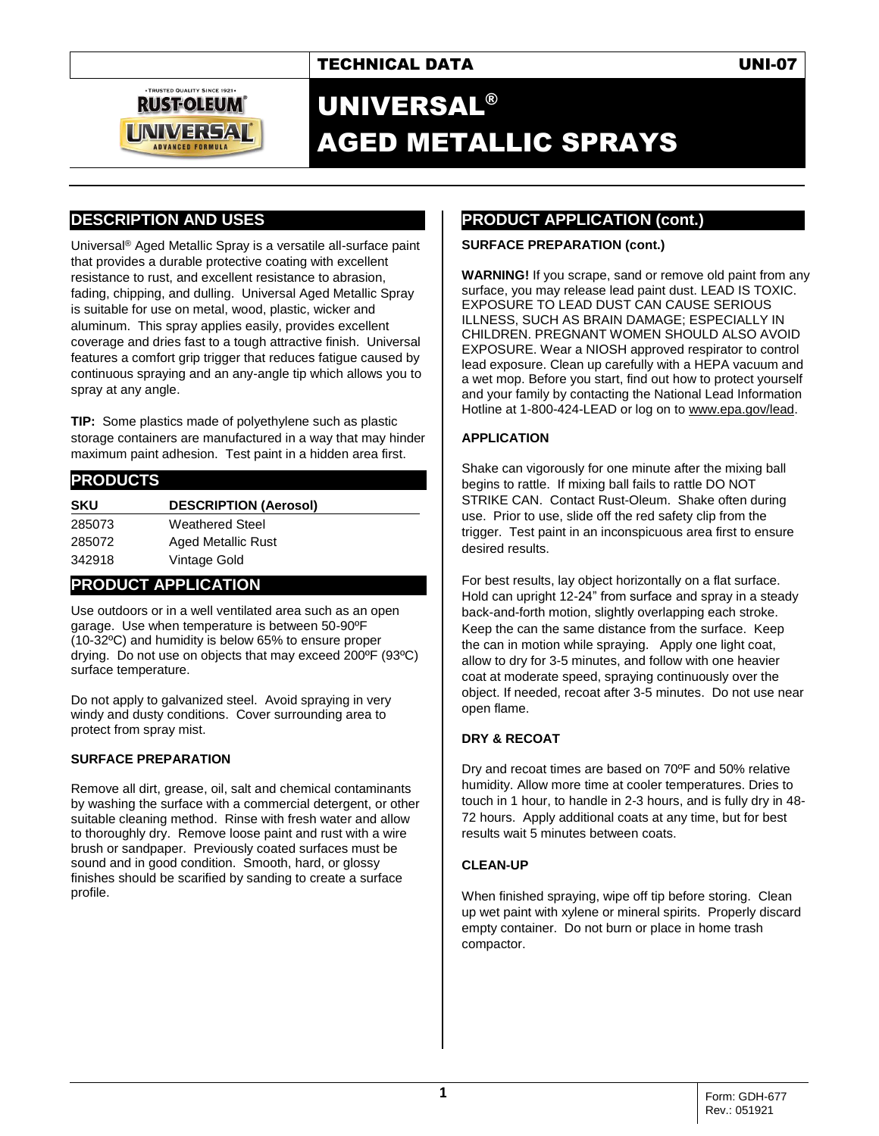



## UNIVERSAL® AGED METALLIC SPRAYS

## **DESCRIPTION AND USES**

Universal® Aged Metallic Spray is a versatile all-surface paint that provides a durable protective coating with excellent resistance to rust, and excellent resistance to abrasion, fading, chipping, and dulling. Universal Aged Metallic Spray is suitable for use on metal, wood, plastic, wicker and aluminum. This spray applies easily, provides excellent coverage and dries fast to a tough attractive finish. Universal features a comfort grip trigger that reduces fatigue caused by continuous spraying and an any-angle tip which allows you to spray at any angle.

**TIP:** Some plastics made of polyethylene such as plastic storage containers are manufactured in a way that may hinder maximum paint adhesion. Test paint in a hidden area first.

## **PRODUCTS SKU DESCRIPTION (Aerosol)** 285073 Weathered Steel 285072 Aged Metallic Rust 342918 Vintage Gold

## **PRODUCT APPLICATION**

Use outdoors or in a well ventilated area such as an open garage. Use when temperature is between 50-90ºF (10-32ºC) and humidity is below 65% to ensure proper drying. Do not use on objects that may exceed 200ºF (93ºC) surface temperature.

Do not apply to galvanized steel. Avoid spraying in very windy and dusty conditions. Cover surrounding area to protect from spray mist.

#### **SURFACE PREPARATION**

Remove all dirt, grease, oil, salt and chemical contaminants by washing the surface with a commercial detergent, or other suitable cleaning method. Rinse with fresh water and allow to thoroughly dry. Remove loose paint and rust with a wire brush or sandpaper. Previously coated surfaces must be sound and in good condition. Smooth, hard, or glossy finishes should be scarified by sanding to create a surface profile.

## **PRODUCT APPLICATION (cont.)**

#### **SURFACE PREPARATION (cont.)**

**WARNING!** If you scrape, sand or remove old paint from any surface, you may release lead paint dust. LEAD IS TOXIC. EXPOSURE TO LEAD DUST CAN CAUSE SERIOUS ILLNESS, SUCH AS BRAIN DAMAGE; ESPECIALLY IN CHILDREN. PREGNANT WOMEN SHOULD ALSO AVOID EXPOSURE. Wear a NIOSH approved respirator to control lead exposure. Clean up carefully with a HEPA vacuum and a wet mop. Before you start, find out how to protect yourself and your family by contacting the National Lead Information Hotline at 1-800-424-LEAD or log on to [www.epa.gov/lead.](http://www.epa.gov/lead)

#### **APPLICATION**

Shake can vigorously for one minute after the mixing ball begins to rattle. If mixing ball fails to rattle DO NOT STRIKE CAN. Contact Rust-Oleum. Shake often during use. Prior to use, slide off the red safety clip from the trigger. Test paint in an inconspicuous area first to ensure desired results.

For best results, lay object horizontally on a flat surface. Hold can upright 12-24" from surface and spray in a steady back-and-forth motion, slightly overlapping each stroke. Keep the can the same distance from the surface. Keep the can in motion while spraying. Apply one light coat, allow to dry for 3-5 minutes, and follow with one heavier coat at moderate speed, spraying continuously over the object. If needed, recoat after 3-5 minutes. Do not use near open flame.

#### **DRY & RECOAT**

Dry and recoat times are based on 70ºF and 50% relative humidity. Allow more time at cooler temperatures. Dries to touch in 1 hour, to handle in 2-3 hours, and is fully dry in 48- 72 hours. Apply additional coats at any time, but for best results wait 5 minutes between coats.

#### **CLEAN-UP**

When finished spraying, wipe off tip before storing. Clean up wet paint with xylene or mineral spirits. Properly discard empty container. Do not burn or place in home trash compactor.